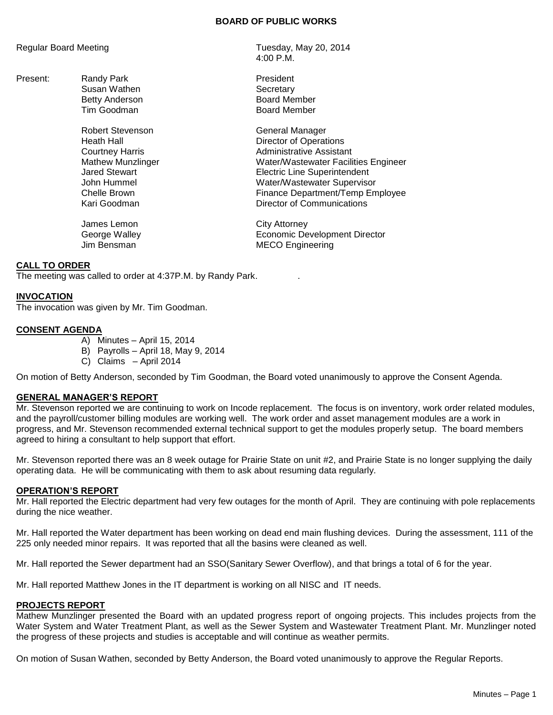#### **BOARD OF PUBLIC WORKS**

Present: Randy Park **President** Susan Wathen **Susan Wathen** 

Robert Stevenson General Manager

James Lemon City Attorney

Regular Board Meeting Tuesday, May 20, 2014 4:00 P.M.

> Betty Anderson Board Member Tim Goodman **Board Member**

Heath Hall Director of Operations Courtney Harris **Administrative Assistant** Mathew Munzlinger Water/Wastewater Facilities Engineer Jared Stewart Electric Line Superintendent John Hummel Water/Wastewater Supervisor Chelle Brown **Finance Department/Temp Employee** Kari Goodman Director of Communications

George Walley Economic Development Director **MECO Engineering** 

# **CALL TO ORDER**

The meeting was called to order at 4:37P.M. by Randy Park. .

## **INVOCATION**

The invocation was given by Mr. Tim Goodman.

# **CONSENT AGENDA**

- A) Minutes April 15, 2014
- B) Payrolls April 18, May 9, 2014
- C) Claims April 2014

On motion of Betty Anderson, seconded by Tim Goodman, the Board voted unanimously to approve the Consent Agenda.

## **GENERAL MANAGER'S REPORT**

Mr. Stevenson reported we are continuing to work on Incode replacement. The focus is on inventory, work order related modules, and the payroll/customer billing modules are working well. The work order and asset management modules are a work in progress, and Mr. Stevenson recommended external technical support to get the modules properly setup. The board members agreed to hiring a consultant to help support that effort.

Mr. Stevenson reported there was an 8 week outage for Prairie State on unit #2, and Prairie State is no longer supplying the daily operating data. He will be communicating with them to ask about resuming data regularly.

## **OPERATION'S REPORT**

Mr. Hall reported the Electric department had very few outages for the month of April. They are continuing with pole replacements during the nice weather.

Mr. Hall reported the Water department has been working on dead end main flushing devices. During the assessment, 111 of the 225 only needed minor repairs. It was reported that all the basins were cleaned as well.

Mr. Hall reported the Sewer department had an SSO(Sanitary Sewer Overflow), and that brings a total of 6 for the year.

Mr. Hall reported Matthew Jones in the IT department is working on all NISC and IT needs.

## **PROJECTS REPORT**

Mathew Munzlinger presented the Board with an updated progress report of ongoing projects. This includes projects from the Water System and Water Treatment Plant, as well as the Sewer System and Wastewater Treatment Plant. Mr. Munzlinger noted the progress of these projects and studies is acceptable and will continue as weather permits.

On motion of Susan Wathen, seconded by Betty Anderson, the Board voted unanimously to approve the Regular Reports.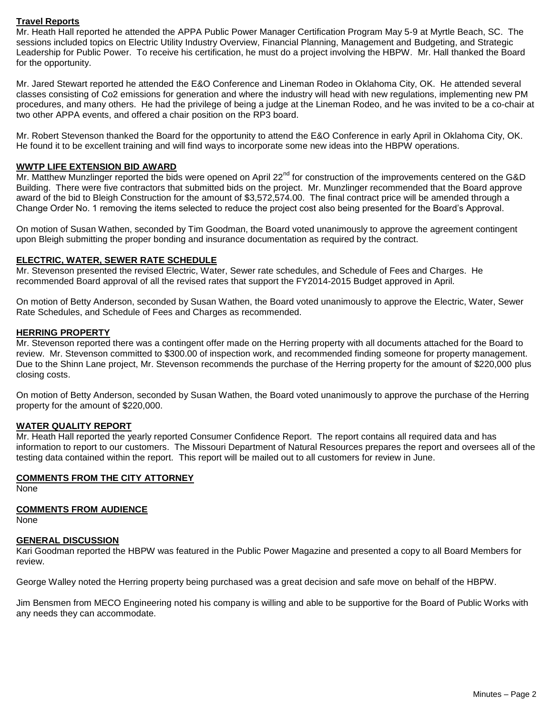## **Travel Reports**

Mr. Heath Hall reported he attended the APPA Public Power Manager Certification Program May 5-9 at Myrtle Beach, SC. The sessions included topics on Electric Utility Industry Overview, Financial Planning, Management and Budgeting, and Strategic Leadership for Public Power. To receive his certification, he must do a project involving the HBPW. Mr. Hall thanked the Board for the opportunity.

Mr. Jared Stewart reported he attended the E&O Conference and Lineman Rodeo in Oklahoma City, OK. He attended several classes consisting of Co2 emissions for generation and where the industry will head with new regulations, implementing new PM procedures, and many others. He had the privilege of being a judge at the Lineman Rodeo, and he was invited to be a co-chair at two other APPA events, and offered a chair position on the RP3 board.

Mr. Robert Stevenson thanked the Board for the opportunity to attend the E&O Conference in early April in Oklahoma City, OK. He found it to be excellent training and will find ways to incorporate some new ideas into the HBPW operations.

## **WWTP LIFE EXTENSION BID AWARD**

 $\overline{Mr}$ . Matthew Munzlinger reported the bids were opened on April 22<sup>nd</sup> for construction of the improvements centered on the G&D Building. There were five contractors that submitted bids on the project. Mr. Munzlinger recommended that the Board approve award of the bid to Bleigh Construction for the amount of \$3,572,574.00. The final contract price will be amended through a Change Order No. 1 removing the items selected to reduce the project cost also being presented for the Board's Approval.

On motion of Susan Wathen, seconded by Tim Goodman, the Board voted unanimously to approve the agreement contingent upon Bleigh submitting the proper bonding and insurance documentation as required by the contract.

## **ELECTRIC, WATER, SEWER RATE SCHEDULE**

Mr. Stevenson presented the revised Electric, Water, Sewer rate schedules, and Schedule of Fees and Charges. He recommended Board approval of all the revised rates that support the FY2014-2015 Budget approved in April.

On motion of Betty Anderson, seconded by Susan Wathen, the Board voted unanimously to approve the Electric, Water, Sewer Rate Schedules, and Schedule of Fees and Charges as recommended.

## **HERRING PROPERTY**

Mr. Stevenson reported there was a contingent offer made on the Herring property with all documents attached for the Board to review. Mr. Stevenson committed to \$300.00 of inspection work, and recommended finding someone for property management. Due to the Shinn Lane project, Mr. Stevenson recommends the purchase of the Herring property for the amount of \$220,000 plus closing costs.

On motion of Betty Anderson, seconded by Susan Wathen, the Board voted unanimously to approve the purchase of the Herring property for the amount of \$220,000.

## **WATER QUALITY REPORT**

Mr. Heath Hall reported the yearly reported Consumer Confidence Report. The report contains all required data and has information to report to our customers. The Missouri Department of Natural Resources prepares the report and oversees all of the testing data contained within the report. This report will be mailed out to all customers for review in June.

## **COMMENTS FROM THE CITY ATTORNEY**

None

#### **COMMENTS FROM AUDIENCE**

None

# **GENERAL DISCUSSION**

Kari Goodman reported the HBPW was featured in the Public Power Magazine and presented a copy to all Board Members for review.

George Walley noted the Herring property being purchased was a great decision and safe move on behalf of the HBPW.

Jim Bensmen from MECO Engineering noted his company is willing and able to be supportive for the Board of Public Works with any needs they can accommodate.